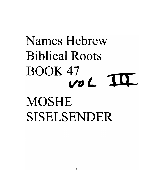# Names Hebrew **Biblical Roots BOOK 47**  $\mathbf T$ VOL **MOSHE** SISELSENDER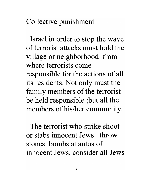Collective punishment

Israel in order to stop the wave of terrorist attacks must hold the village or neighborhood from where terrorists come responsible for the actions of all its residents. Not only must the family members of the terrorist be held responsible ;but all the members of his/her community.

The terrorist who strike shoot or stabs innocent Jews throw stones bombs at autos of innocent Jews, consider all Jews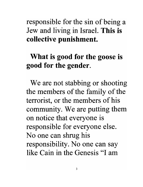## responsible for the sin of being a Jew and living in Israel. **This is collective punishment.**

# **What is good for the goose is good for the gender.**

We are not stabbing or shooting the members of the family of the terrorist, or the members of his community. We are putting them on notice that everyone is responsible for everyone else. No one can shrug his responsibility. No one can say like Cain in the Genesis "I am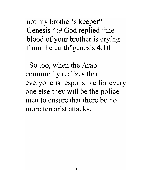not my brother's keeper" Genesis 4:9 God replied "the blood of your brother is crying from the earth *e*genesis 4:10

So too, when the Arab community realizes that everyone is responsible for every one else they will be the police men to ensure that there be no more terrorist attacks.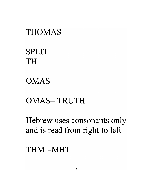# THOMAS

# SPLIT TH

# OMAS

# OMAS=TRUTH

Hebrew uses consonants only and is read from right to left

# THM=MHT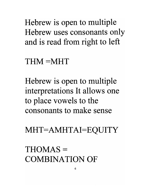Hebrew is open to multiple Hebrew uses consonants only and is read from right to left

### $THM = MHT$

Hebrew is open to multiple interpretations It allows one to place vowels to the consonants to make sense

MHT=AMHTAI=EQUITY

THOMAS == COMBINATION OF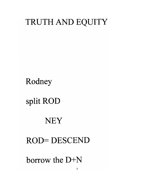# TRUTH AND EQUITY

Rodney

# split ROD

### **NEY**

### **ROD=DESCEND**

borrow the D+N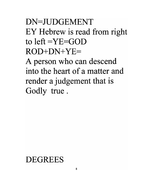# DN=JUDGEMENT EY Hebrew is read from right to left  $=YE=GOD$  $ROD+DN+YE=$

A person who can descend into the heart of a matter and render a judgement that is Godly true.

# DEGREES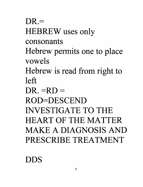$DR =$ HEBREW uses only consonants Hebrew permits one to place vowels Hebrew is read from right to left  $DR = RD =$ ROD=DESCEND INVESTIGATE TO THE HEART OF THE MATTER MAKE A DIAGNOSIS AND PRESCRIBE TREATMENT

DDS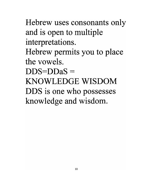Hebrew uses consonants only and is open to multiple interpretations. Hebrew permits you to place the vowels.  $DDS=DDaS=$ KNOWLEDGE WISDOM DDS is one who possesses knowledge and wisdom.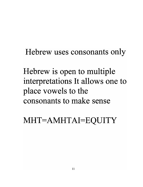Hebrew uses consonants only

Hebrew is open to multiple interpretations It allows one to place vowels to the consonants to make sense

MHT=AMHTAI=EQUITY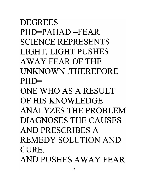# **DEGREES**  $PHD=PAHAD = FEAR$ SCIENCE REPRESENTS LIGHT. LIGHT PUSHES AWAY FEAR OF THE UNKNOWN .THEREFORE  $PHD=$

ONE WHO AS A RESULT OF HIS KNOWLEDGE ANALYZES THE PROBLEM DIAGNOSES THE CAUSES AND PRESCRIBES A REMEDY SOLUTION AND CURE. AND PUSHES AWAY FEAR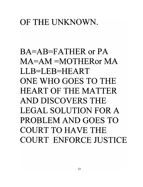# OF THE UNKNOWN.

 $BA = AB = FATHER$  or  $PA$ MA=AM =MOTHERor MA LLB=LEB=HEART ONE WHO GOES TO THE HEART OF THE MATTER AND DISCOVERS THE LEGAL SOLUTION FOR A PROBLEM AND GOES TO COURT TO HAVE THE COURT ENFORCE JUSTICE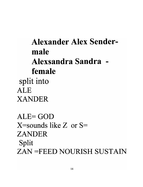# **Alexander Alex Sendermale Alexsandra Sandra female**  split into ALE XANDER

ALE=GOD  $X$ =sounds like Z or S= ZANDER Split ZAN =FEED NOURISH SUSTAIN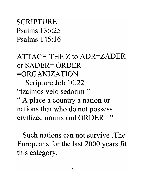SCRIPTURE Psalms 136:25 Psalms 145:16

 $ATTACH$  THE Z to  $ADR = ZADER$ **or** SADER ORDER =ORGANIZATION

Scripture Job 10:22

"tzalmos velo sedorim "

" A place a country a nation or nations that who do not possess civilized norms and ORDER

Such nations can not survive . The Europeans for the last 2000 years fit this category.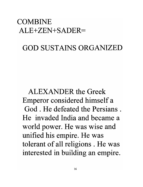### COMBINE ALE+ZEN+SADER

### GOD SUSTAINS ORGANIZED

ALEXANDER the Greek Emperor considered himself a God . He defeated the Persians . He invaded India and became a world power. He was wise and unified his empire. He was tolerant of all religions . He was interested in building an empire.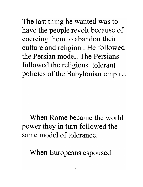The last thing he wanted was to have the people revolt because of coercing them to abandon their culture and religion. He followed the Persian model. The Persians followed the religious tolerant policies of the Babylonian empire.

When Rome became the world power they in tum followed the same model of tolerance.

When Europeans espoused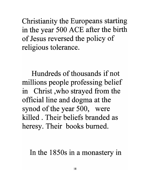Christianity the Europeans starting in the year 500 ACE after the birth of Jesus reversed the policy of religious tolerance.

Hundreds of thousands if not millions people professing belief in Christ ,who strayed from the official line and dogma at the synod of the year 500, were killed. Their beliefs branded as heresy. Their books burned.

In the 1850s in a monastery in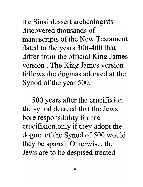the Sinai dessert archeologists discovered thousands of manuscripts of the New Testament dated to the years 300-400 that differ from the official King James version . The King James version follows the dogmas adopted at the Synod of the year 500.

500 years after the crucifixion the synod decreed that the Jews bore responsibility for the crucifixion. only if they adopt the dogma of the Synod of 500 would they be spared. Otherwise, the Jews are to be despised treated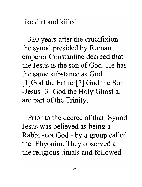like dirt and killed.

320 years after the crucifixion the synod presided by Roman emperor Constantine decreed that the Jesus is the son of God. He has the same substance as God . [l]God the Father[2] God the Son -Jesus [3] God the Holy Ghost all are part of the Trinity.

Prior to the decree of that Synod Jesus was believed as being a Rabbi -not God - by a group called the Ebyonim. They observed all the religious rituals and followed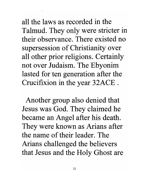all the laws as recorded in the Talmud. They only were stricter in their observance. There existed no supersession of Christianity over all other prior religions. Certainly not over Judaism. The Ebyonim lasted for ten generation after the Crucifixion in the year 32ACE .

Another group also denied that Jesus was God. They claimed he became an Angel after his death. They were known as Arians after the name of their leader. The Arians challenged the believers that Jesus and the Holy Ghost are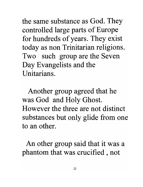the same substance as God. They controlled large parts of Europe for hundreds of years. They exist today as non Trinitarian religions. Two such group are the Seven Day Evangelists and the Unitarians.

Another group agreed that he was God and Holy Ghost. However the three are not distinct substances but only glide from one to an other.

An other group said that it was a phantom that was crucified , not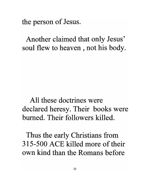the person of Jesus.

Another claimed that only Jesus' soul flew to heaven, not his body.

All these doctrines were declared heresy. Their books were burned. Their followers killed.

Thus the early Christians from 315-500 ACE killed more of their own kind than the Romans before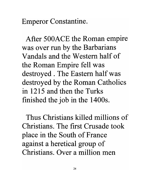Emperor Constantine.

After 500ACE the Roman empire was over run by the Barbarians Vandals and the Western half of the Roman Empire fell was destroyed . The Eastern half was destroyed by the Roman Catholics in 1215 and then the Turks finished the job in the 1400s.

Thus Christians killed millions of Christians. The first Crusade took place in the South of France against a heretical group of Christians. Over a million men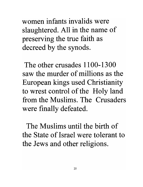women infants invalids were slaughtered. All in the name of preserving the true faith as decreed by the synods.

The other crusades 1100-1300 saw the murder of millions as the European kings used Christianity to wrest control of the Holy land from the Muslims. The Crusaders were finally defeated.

The Muslims until the birth of the State of Israel were tolerant to the Jews and other religions.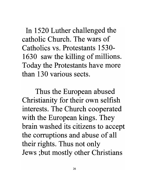In 1520 Luther challenged the catholic Church. The wars of Catholics vs. Protestants 1530- 1630 saw the killing of millions. Today the Protestants have more than 130 various sects.

Thus the European abused Christianity for their own selfish interests. The Church cooperated with the European kings. They brain washed its citizens to accept the corruptions and abuse of all their rights. Thus not only Jews ;but mostly other Christians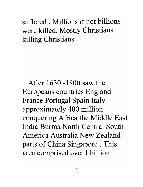suffered . Millions if not billions were killed. Mostly Christians killing Christians.

After 1630 -1800 saw the Europeans countries England France Portugal Spain Italy approximately 400 million conquering Africa the Middle East India Burma North Central South America Australia New Zealand parts of China Singapore . This area comprised over I billion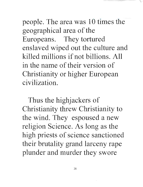people. The area was 10 times the geographical area of the Europeans. They tortured enslaved wiped out the culture and killed millions if not billions. All in the name of their version of Christianity or higher European civilization.

Thus the highjackers of Christianity threw Christianity to the wind. They espoused a new religion Science. As long as the high priests of science sanctioned their brutality grand larceny rape plunder and murder they swore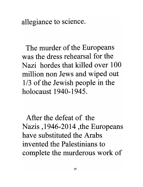allegiance to science.

The murder of the Europeans was the dress rehearsal for the Nazi hordes that killed over 100 million non Jews and wiped out 1/3 of the Jewish people in the holocaust 1940-1945.

After the defeat of the Nazis, 1946-2014 ,the Europeans have substituted the Arabs invented the Palestinians to complete the murderous work of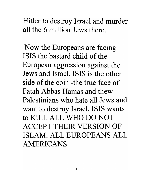Hitler to destroy Israel and murder all the 6 million Jews there.

Now the Europeans are facing ISIS the bastard child of the European aggression against the Jews and Israel. ISIS is the other side of the coin -the true face of Fatah Abbas Hamas and thew Palestinians who hate all Jews and want to destroy Israel. ISIS wants to KILL ALL WHO DO NOT ACCEPT THEIR VERSION OF ISLAM. ALL EUROPEANS ALL AMERICANS.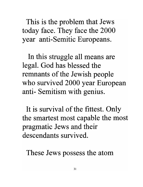This is the problem that Jews today face. They face the 2000 year anti-Semitic Europeans.

In this struggle all means are legal. God has blessed the remnants of the Jewish people who survived 2000 year European anti- Semitism with genius.

It is survival of the fittest. Only the smartest most capable the most pragmatic Jews and their descendants survived.

These Jews possess the atom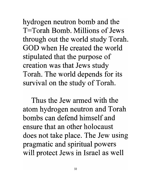hydrogen neutron bomb and the T=Torah Bomb. Millions of Jews through out the world study Torah. GOD when He created the world stipulated that the purpose of creation was that Jews study Torah. The world depends for its survival on the study of Torah.

Thus the Jew armed with the atom hydrogen neutron and Torah bombs can defend himself and ensure that an other holocaust does not take place. The Jew using pragmatic and spiritual powers will protect Jews in Israel as well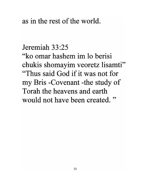#### as in the rest of the world.

#### Jeremiah 33:25

"ko omar hashem im lo berisi chukis shomayim veoretz lisamti" "Thus said God if it was not for my Bris -Covenant -the study of Torah the heavens and earth would not have been created."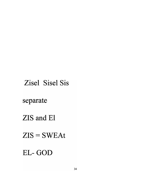Zisel Sisel Sis

#### separate

#### ZIS and El

### $ZIS = SWEAt$

#### EL-GOD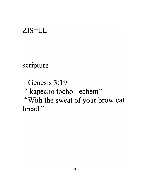#### $ZIS = EL$

scripture

Genesis 3:19 "kapecho tochol lechem" "With the sweat of your brow eat bread."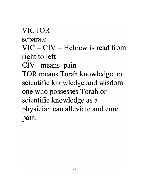# VICTOR separate  $VIC = CIV = Hebrew$  is read from right to left CIV means pain TOR means Torah knowledge or scientific knowledge and wisdom one who possesses Torah or scientific knowledge as a physician can alleviate and cure • paIn.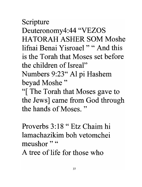Scripture Deuteronomy4:44 "VEZOS HATORAH ASHER SOM Moshe lifnai Benai Yisroael" "And this is the Torah that Moses set before the children of Isreal" Numbers 9:23" Al pi Hashem beyad Moshe "

"[ The Torah that Moses gave to the Jews] came from God through the hands of Moses. "

Proverbs 3: 18 " Etz Chaim hi lamachazikim boh vetomchei meushor"<sup>"</sup>

A tree of life for those who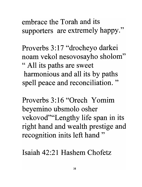embrace the Torah and its supporters are extremely happy."

Proverbs 3:17 "drocheyo darkei noam vekol nesovosayho sholom" "All its paths are sweet harmonious and all its by paths spell peace and reconciliation."

Proverbs 3:16 "Orech Yomim beyemino ubsmolo osher vekovod" "Lengthy life span in its right hand and wealth prestige and recognition inits left hand"

Isaiah 42:21 Hashem Chofetz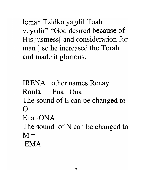leman Tzidko yagdil Toah veyadir" "God desired because of His justness and consideration for man ] so he increased the Torah and made it glorious.

**IRENA** other names Renay Ronia Ena Ona The sound of E can be changed to  $\Omega$ Ena=ONA The sound of N can be changed to  $M =$ **EMA**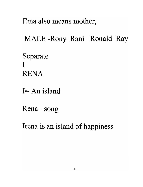Ema also means mother,

MALE-Rony Rani Ronald Ray

Separate  $\mathbf{I}$ **RENA** 

 $I = An$  island

Rena = song

Irena is an island of happiness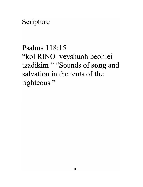Scripture

Psalms 118:15 "kol RINO veyshuoh beohlei tzadikim" "Sounds of song and salvation in the tents of the righteous"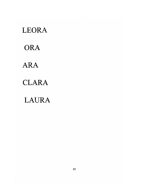LEORA ORA ARA CLARA LAURA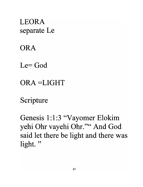**LEORA** separate Le

**ORA** 

 $Le = God$ 

ORA=LIGHT

Scripture

Genesis 1:1:3 "Vayomer Elokim yehi Ohr vayehi Ohr."" And God said let there be light and there was light."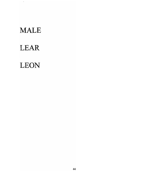### MALE

 $\sim 100$ 

# LEAR

## LEON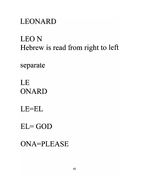### **LEONARD**

# **LEON** Hebrew is read from right to left

separate

LE **ONARD** 

 $LE=EL$ 

 $EL = GOD$ 

**ONA=PLEASE**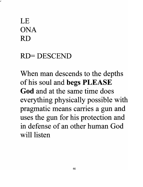# LE ONA RD

#### RD=DESCEND

When man descends to the depths of his soul and **begs PLEASE God** and at the same time does everything physically possible with pragmatic means carries a gun and uses the gun for his protection and in defense of an other human God will listen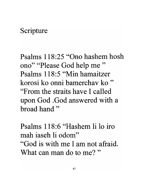#### Scripture

Psalms 118:25 "Ono hashem hosh" ono" "Please God help me " Psalms 118:5 "Min hamaitzer korosi ko onni bamerchav ko " "From the straits have I called upon God. God answered with a broad hand"

Psalms 118:6 "Hashem Ii 10 iro mah iaseh Ii odom" "God is with me I am not afraid. What can man do to me?"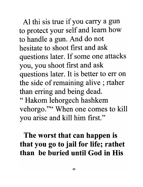Al thi sis true if you carry a gun to protect your self and learn how to handle a gun. And do not hesitate to shoot first and ask questions later. If some one attacks you, you shoot first and ask questions later. It is better to err on the side of remaining alive ; rtaher than erring and being dead.

" Hakom lehorgech hashkem vehorgo."" When one comes to kill you arise and kill him first."

## The worst that can happen is that you go to jail for life; rathet than be buried **until** God in His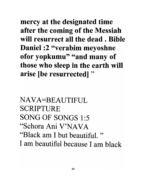mercy at the designated time after the coming of the Messiah will resurrect all the dead. Bible Daniel :2 "verabim meyoshne ofor yopkumu" "and many of those who sleep in the earth will arise [be resurrected] "

NAVA=BEAUTIFUL SCRIPTURE SONG OF SONGS 1:5 "Schora Ani V'NAVA "Black am I but beautiful. " I am beautiful because I am black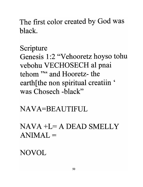The first color created by God was black.

### Scripture

Genesis 1:2 "Vehooretz hoyso tohu vebohu VECHOSECH al pnai tehom "" and Hooretz- the earth [the non spiritual creatiin ' was Chosech -black"

### NAVA=BEAUTIFUL

# $NAVA + L = A DEAD SMELLY$  $ANIMAL =$

## **NOVOL**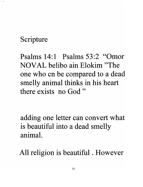### Scripture

وداء

Psalms 14:1 Psalms 53:2 "Omor NOV AL belibo ain Elokim "The one who cn be compared to a dead smelly animal thinks in his heart there exists no God"

adding one letter can convert what is beautiful into a dead smelly animal.

All religion is beautiful . However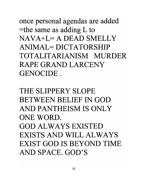once personal agendas are added  $=$ the same as adding L to  $NAVA+I=A DEAD SMELLY$  $ANIMAL = DICTATORSHIP$ TOTALITARIANISM MURDER RAPE GRAND LARCENY GENOCIDE.

THE SLIPPERY SLOPE BETWEEN BELIEF IN GOD AND PANTHEISM IS ONLY ONE WORD. GOD ALWAYS EXISTED EXISTS AND WILL ALWAYS EXIST GOD IS BEYOND TIME AND SPACE. GOD'S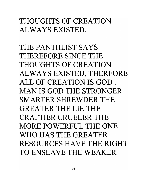### THOUGHTS OF CREATION ALWAYS EXISTED.

THE PANTHEIST SAYS THEREFORE SINCE THE THOUGHTS OF CREATION ALWAYS EXISTED, THERFORE ALL OF CREATION IS GOD. MANIS GOD THE STRONGER SMARTER SHREWDER THE GREATER THE LIE THE CRAFTIER CRUELER THE MORE POWERFUL THE ONE WHO HAS THE GREATER RESOURCES HAVE THE RIGHT TO ENSLAVE THE WEAKER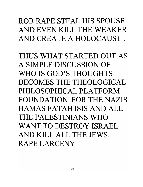# ROB RAPE STEAL HIS SPOUSE AND EVEN KILL THE WEAKER AND CREATE A HOLOCAUST.

THUS WHAT STARTED OUT AS A SIMPLE DISCUSSION OF WHO IS GOD'S THOUGHTS BECOMES THE THEOLOGICAL PHILOSOPHICAL PLATFORM FOUNDATION FOR THE NAZIS HAMAS FATAH ISIS AND ALL THE PALESTINIANS WHO WANT TO DESTROY ISRAEL AND KILL ALL THE JEWS. RAPE LARCENY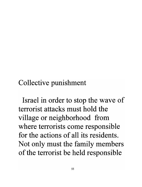Collective punishment

Israel in order to stop the wave of terrorist attacks must hold the village or neighborhood from where terrorists come responsible for the actions of all its residents. Not only must the family members of the terrorist be held responsible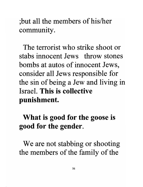; but all the members of his/her community.

The terrorist who strike shoot or stabs innocent Jews throw stones bombs at autos of innocent Jews, consider all Jews responsible for the sin of being a Jew and living in Israel. This is collective punishment.

## What is good for the goose is good for the gender.

We are not stabbing or shooting the members of the family of the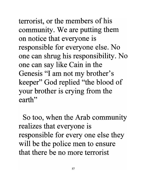terrorist, or the members of his community. We are putting them on notice that everyone is responsible for everyone else. No one can shrug his responsibility. No one can say like Cain in the Genesis "I am not my brother's keeper" God replied "the blood of your brother is crying from the earth"

So too, when the Arab community realizes that everyone is responsible for every one else they will be the police men to ensure that there be no more terrorist